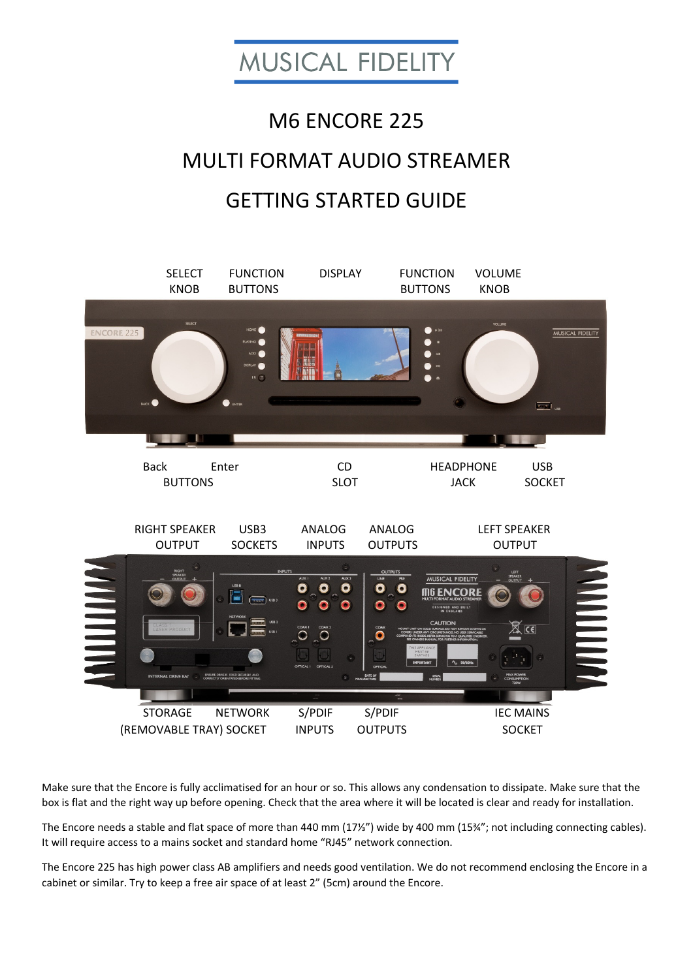

# M6 ENCORE 225 MULTI FORMAT AUDIO STREAMER GETTING STARTED GUIDE



Make sure that the Encore is fully acclimatised for an hour or so. This allows any condensation to dissipate. Make sure that the box is flat and the right way up before opening. Check that the area where it will be located is clear and ready for installation.

The Encore needs a stable and flat space of more than 440 mm (17⅓") wide by 400 mm (15¾"; not including connecting cables). It will require access to a mains socket and standard home "RJ45" network connection.

The Encore 225 has high power class AB amplifiers and needs good ventilation. We do not recommend enclosing the Encore in a cabinet or similar. Try to keep a free air space of at least 2" (5cm) around the Encore.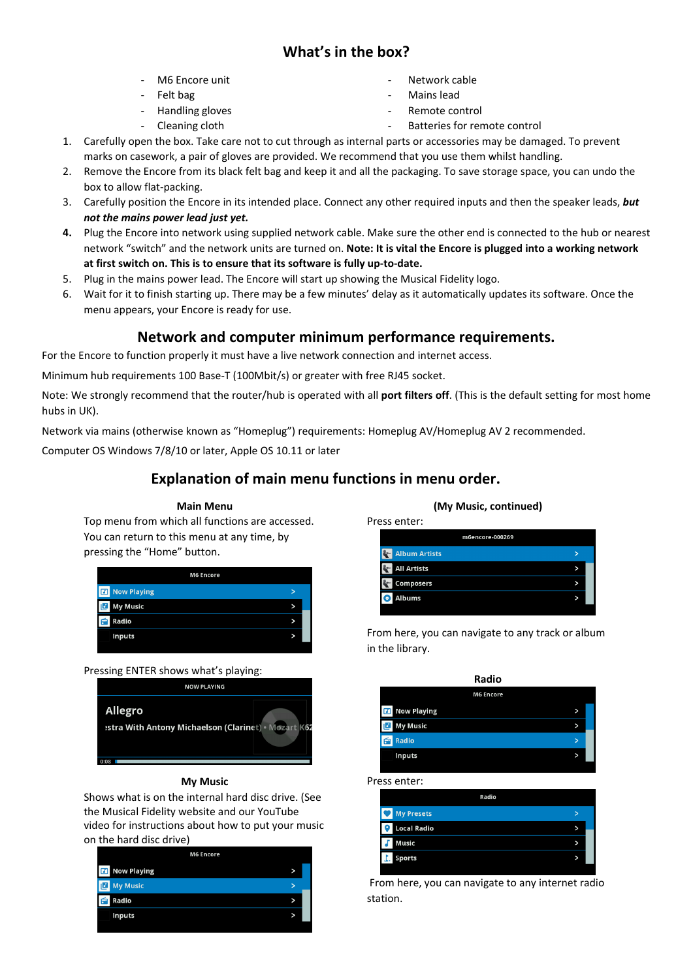# **What's in the box?**

- ‐ M6 Encore unit
- ‐ Felt bag
- ‐ Handling gloves
- ‐ Cleaning cloth
- ‐ Network cable
- ‐ Mains lead
- ‐ Remote control
- Batteries for remote control
- 1. Carefully open the box. Take care not to cut through as internal parts or accessories may be damaged. To prevent marks on casework, a pair of gloves are provided. We recommend that you use them whilst handling.
- 2. Remove the Encore from its black felt bag and keep it and all the packaging. To save storage space, you can undo the box to allow flat‐packing.
- 3. Carefully position the Encore in its intended place. Connect any other required inputs and then the speaker leads, *but not the mains power lead just yet.*
- **4.** Plug the Encore into network using supplied network cable. Make sure the other end is connected to the hub or nearest network "switch" and the network units are turned on. **Note: It is vital the Encore is plugged into a working network at first switch on. This is to ensure that its software is fully up‐to‐date.**
- 5. Plug in the mains power lead. The Encore will start up showing the Musical Fidelity logo.
- 6. Wait for it to finish starting up. There may be a few minutes' delay as it automatically updates its software. Once the menu appears, your Encore is ready for use.

# **Network and computer minimum performance requirements.**

For the Encore to function properly it must have a live network connection and internet access.

Minimum hub requirements 100 Base‐T (100Mbit/s) or greater with free RJ45 socket.

Note: We strongly recommend that the router/hub is operated with all **port filters off**. (This is the default setting for most home hubs in UK).

Network via mains (otherwise known as "Homeplug") requirements: Homeplug AV/Homeplug AV 2 recommended.

Computer OS Windows 7/8/10 or later, Apple OS 10.11 or later

# **Explanation of main menu functions in menu order.**

# Top menu from which all functions are accessed. You can return to this menu at any time, by pressing the "Home" button. **M6 Encore**

**Main Menu** 

| ا تعا<br><b>IVOW FRYING</b> | - |
|-----------------------------|---|
| <b>L</b> My Music           | > |
| Radio<br>ы                  | > |
| <b>Inputs</b>               | > |
|                             |   |

#### Pressing ENTER shows what's playing:



#### **My Music**

Shows what is on the internal hard disc drive. (See the Musical Fidelity website and our YouTube video for instructions about how to put your music on the hard disc drive)

| <b>M6 Encore</b>      |   |
|-----------------------|---|
| <b>El</b> Now Playing |   |
| <b>J</b> My Music     |   |
| Radio                 | > |
| <b>Inputs</b>         | > |
|                       |   |

#### **(My Music, continued)**

| Press enter:               |  |
|----------------------------|--|
| m6encore-000269            |  |
| <b>Album Artists</b>       |  |
| <b>All Artists</b>         |  |
| <b>Composers</b>           |  |
| <b>Albums</b><br>$\bullet$ |  |
|                            |  |

From here, you can navigate to any track or album in the library.

| > |  |
|---|--|
| > |  |
| > |  |
| > |  |
|   |  |

Press enter:

|     | Radio              |   |  |
|-----|--------------------|---|--|
|     | <b>My Presets</b>  | > |  |
| ' e | <b>Local Radio</b> | > |  |
|     | <b>Music</b>       | > |  |
|     | I. Sports          | > |  |
|     |                    |   |  |

 From here, you can navigate to any internet radio station.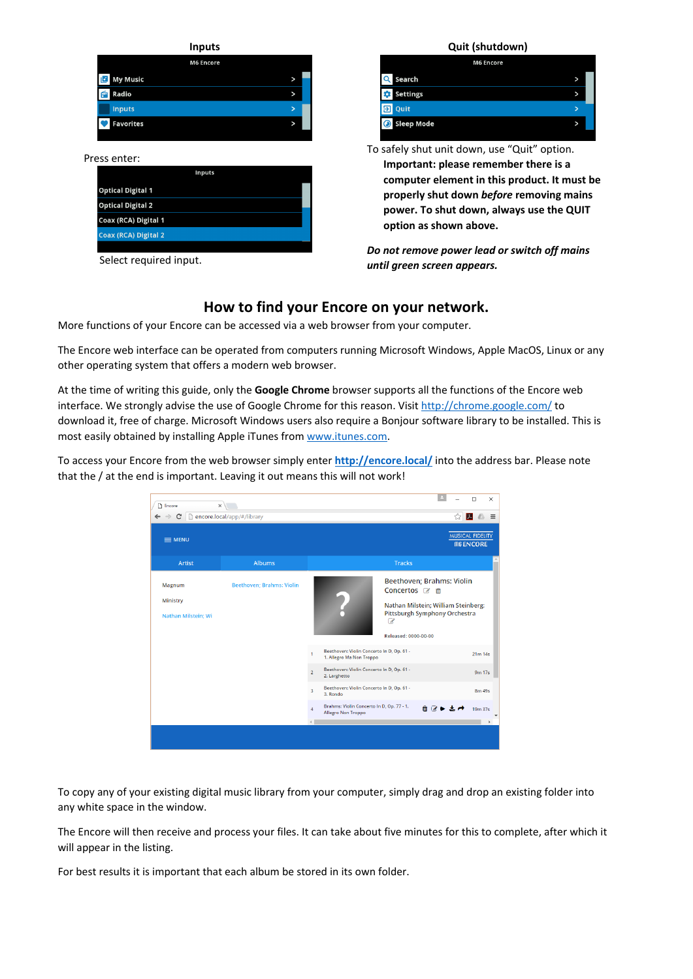| <b>Inputs</b>    |             |
|------------------|-------------|
| <b>M6 Encore</b> |             |
| <b>My Music</b>  | >           |
| Radio            | $\check{ }$ |
| <b>Inputs</b>    | >           |
| <b>Favorites</b> | $\check{ }$ |
|                  |             |

#### Press enter:

| <b>Inputs</b>               |  |
|-----------------------------|--|
| <b>Optical Digital 1</b>    |  |
| <b>Optical Digital 2</b>    |  |
| Coax (RCA) Digital 1        |  |
| <b>Coax (RCA) Digital 2</b> |  |
|                             |  |

Select required input.



| <b>M6 Encore</b>               |  |
|--------------------------------|--|
| Q<br>Search                    |  |
| <b>Settings</b><br>×.          |  |
| Quit<br>ΕЭΙ                    |  |
| <b>Sleep Mode</b><br>$\bullet$ |  |

To safely shut unit down, use "Quit" option. **Important: please remember there is a computer element in this product. It must be properly shut down** *before* **removing mains power. To shut down, always use the QUIT option as shown above.** 

*Do not remove power lead or switch off mains until green screen appears.* 

## **How to find your Encore on your network.**

More functions of your Encore can be accessed via a web browser from your computer.

The Encore web interface can be operated from computers running Microsoft Windows, Apple MacOS, Linux or any other operating system that offers a modern web browser.

At the time of writing this guide, only the **Google Chrome** browser supports all the functions of the Encore web interface. We strongly advise the use of Google Chrome for this reason. Visit http://chrome.google.com/ to download it, free of charge. Microsoft Windows users also require a Bonjour software library to be installed. This is most easily obtained by installing Apple iTunes from www.itunes.com.

To access your Encore from the web browser simply enter **http://encore.local/** into the address bar. Please note that the / at the end is important. Leaving it out means this will not work!



To copy any of your existing digital music library from your computer, simply drag and drop an existing folder into any white space in the window.

The Encore will then receive and process your files. It can take about five minutes for this to complete, after which it will appear in the listing.

For best results it is important that each album be stored in its own folder.